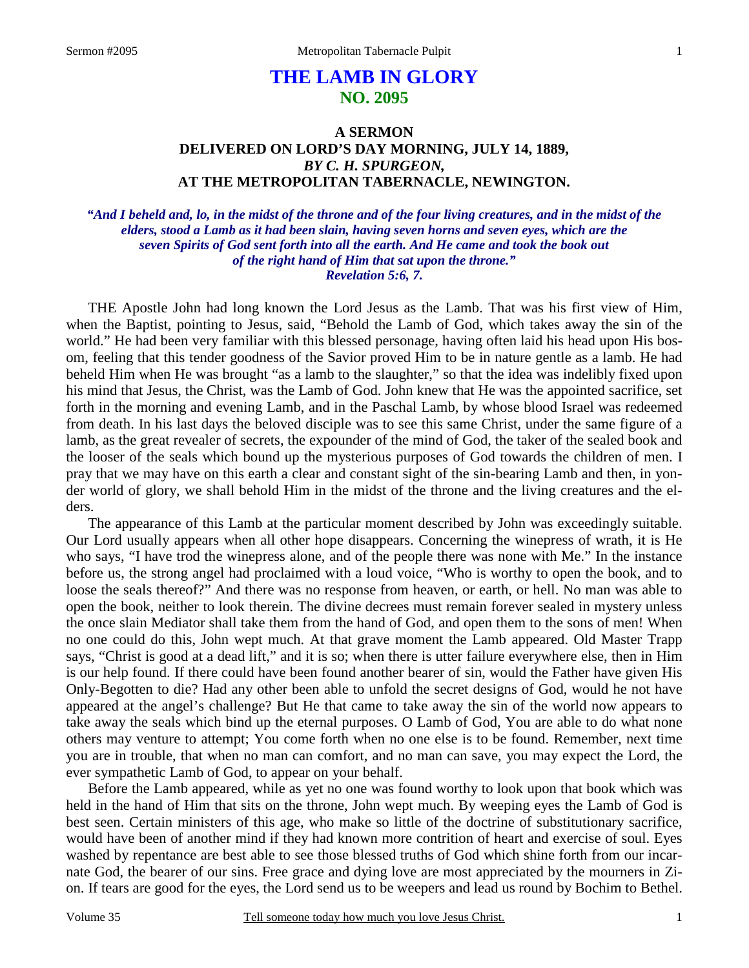# **THE LAMB IN GLORY NO. 2095**

### **A SERMON DELIVERED ON LORD'S DAY MORNING, JULY 14, 1889,**   *BY C. H. SPURGEON,*  **AT THE METROPOLITAN TABERNACLE, NEWINGTON.**

*"And I beheld and, lo, in the midst of the throne and of the four living creatures, and in the midst of the elders, stood a Lamb as it had been slain, having seven horns and seven eyes, which are the seven Spirits of God sent forth into all the earth. And He came and took the book out of the right hand of Him that sat upon the throne." Revelation 5:6, 7.* 

THE Apostle John had long known the Lord Jesus as the Lamb. That was his first view of Him, when the Baptist, pointing to Jesus, said, "Behold the Lamb of God, which takes away the sin of the world." He had been very familiar with this blessed personage, having often laid his head upon His bosom, feeling that this tender goodness of the Savior proved Him to be in nature gentle as a lamb. He had beheld Him when He was brought "as a lamb to the slaughter," so that the idea was indelibly fixed upon his mind that Jesus, the Christ, was the Lamb of God. John knew that He was the appointed sacrifice, set forth in the morning and evening Lamb, and in the Paschal Lamb, by whose blood Israel was redeemed from death. In his last days the beloved disciple was to see this same Christ, under the same figure of a lamb, as the great revealer of secrets, the expounder of the mind of God, the taker of the sealed book and the looser of the seals which bound up the mysterious purposes of God towards the children of men. I pray that we may have on this earth a clear and constant sight of the sin-bearing Lamb and then, in yonder world of glory, we shall behold Him in the midst of the throne and the living creatures and the elders.

The appearance of this Lamb at the particular moment described by John was exceedingly suitable. Our Lord usually appears when all other hope disappears. Concerning the winepress of wrath, it is He who says, "I have trod the winepress alone, and of the people there was none with Me." In the instance before us, the strong angel had proclaimed with a loud voice, "Who is worthy to open the book, and to loose the seals thereof?" And there was no response from heaven, or earth, or hell. No man was able to open the book, neither to look therein. The divine decrees must remain forever sealed in mystery unless the once slain Mediator shall take them from the hand of God, and open them to the sons of men! When no one could do this, John wept much. At that grave moment the Lamb appeared. Old Master Trapp says, "Christ is good at a dead lift," and it is so; when there is utter failure everywhere else, then in Him is our help found. If there could have been found another bearer of sin, would the Father have given His Only-Begotten to die? Had any other been able to unfold the secret designs of God, would he not have appeared at the angel's challenge? But He that came to take away the sin of the world now appears to take away the seals which bind up the eternal purposes. O Lamb of God, You are able to do what none others may venture to attempt; You come forth when no one else is to be found. Remember, next time you are in trouble, that when no man can comfort, and no man can save, you may expect the Lord, the ever sympathetic Lamb of God, to appear on your behalf.

Before the Lamb appeared, while as yet no one was found worthy to look upon that book which was held in the hand of Him that sits on the throne, John wept much. By weeping eyes the Lamb of God is best seen. Certain ministers of this age, who make so little of the doctrine of substitutionary sacrifice, would have been of another mind if they had known more contrition of heart and exercise of soul. Eyes washed by repentance are best able to see those blessed truths of God which shine forth from our incarnate God, the bearer of our sins. Free grace and dying love are most appreciated by the mourners in Zion. If tears are good for the eyes, the Lord send us to be weepers and lead us round by Bochim to Bethel.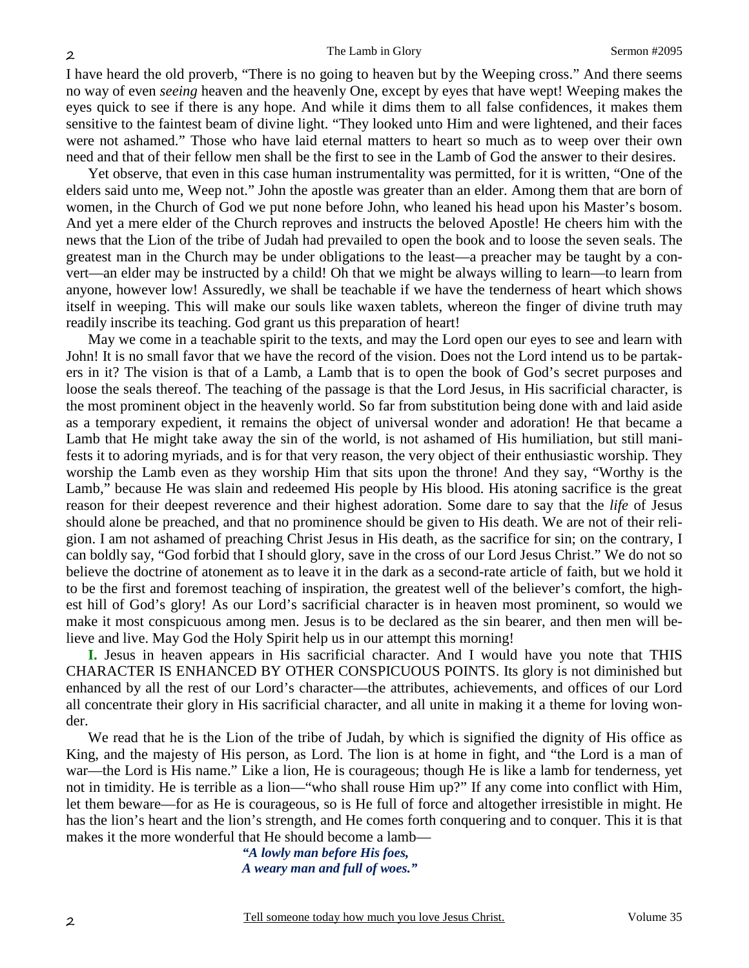I have heard the old proverb, "There is no going to heaven but by the Weeping cross." And there seems no way of even *seeing* heaven and the heavenly One, except by eyes that have wept! Weeping makes the eyes quick to see if there is any hope. And while it dims them to all false confidences, it makes them sensitive to the faintest beam of divine light. "They looked unto Him and were lightened, and their faces were not ashamed." Those who have laid eternal matters to heart so much as to weep over their own need and that of their fellow men shall be the first to see in the Lamb of God the answer to their desires.

Yet observe, that even in this case human instrumentality was permitted, for it is written, "One of the elders said unto me, Weep not." John the apostle was greater than an elder. Among them that are born of women, in the Church of God we put none before John, who leaned his head upon his Master's bosom. And yet a mere elder of the Church reproves and instructs the beloved Apostle! He cheers him with the news that the Lion of the tribe of Judah had prevailed to open the book and to loose the seven seals. The greatest man in the Church may be under obligations to the least—a preacher may be taught by a convert—an elder may be instructed by a child! Oh that we might be always willing to learn—to learn from anyone, however low! Assuredly, we shall be teachable if we have the tenderness of heart which shows itself in weeping. This will make our souls like waxen tablets, whereon the finger of divine truth may readily inscribe its teaching. God grant us this preparation of heart!

May we come in a teachable spirit to the texts, and may the Lord open our eyes to see and learn with John! It is no small favor that we have the record of the vision. Does not the Lord intend us to be partakers in it? The vision is that of a Lamb, a Lamb that is to open the book of God's secret purposes and loose the seals thereof. The teaching of the passage is that the Lord Jesus, in His sacrificial character, is the most prominent object in the heavenly world. So far from substitution being done with and laid aside as a temporary expedient, it remains the object of universal wonder and adoration! He that became a Lamb that He might take away the sin of the world, is not ashamed of His humiliation, but still manifests it to adoring myriads, and is for that very reason, the very object of their enthusiastic worship. They worship the Lamb even as they worship Him that sits upon the throne! And they say, "Worthy is the Lamb," because He was slain and redeemed His people by His blood. His atoning sacrifice is the great reason for their deepest reverence and their highest adoration. Some dare to say that the *life* of Jesus should alone be preached, and that no prominence should be given to His death. We are not of their religion. I am not ashamed of preaching Christ Jesus in His death, as the sacrifice for sin; on the contrary, I can boldly say, "God forbid that I should glory, save in the cross of our Lord Jesus Christ." We do not so believe the doctrine of atonement as to leave it in the dark as a second-rate article of faith, but we hold it to be the first and foremost teaching of inspiration, the greatest well of the believer's comfort, the highest hill of God's glory! As our Lord's sacrificial character is in heaven most prominent, so would we make it most conspicuous among men. Jesus is to be declared as the sin bearer, and then men will believe and live. May God the Holy Spirit help us in our attempt this morning!

**I.** Jesus in heaven appears in His sacrificial character. And I would have you note that THIS CHARACTER IS ENHANCED BY OTHER CONSPICUOUS POINTS. Its glory is not diminished but enhanced by all the rest of our Lord's character—the attributes, achievements, and offices of our Lord all concentrate their glory in His sacrificial character, and all unite in making it a theme for loving wonder.

We read that he is the Lion of the tribe of Judah, by which is signified the dignity of His office as King, and the majesty of His person, as Lord. The lion is at home in fight, and "the Lord is a man of war—the Lord is His name." Like a lion, He is courageous; though He is like a lamb for tenderness, yet not in timidity. He is terrible as a lion—"who shall rouse Him up?" If any come into conflict with Him, let them beware—for as He is courageous, so is He full of force and altogether irresistible in might. He has the lion's heart and the lion's strength, and He comes forth conquering and to conquer. This it is that makes it the more wonderful that He should become a lamb—

> *"A lowly man before His foes, A weary man and full of woes."*

2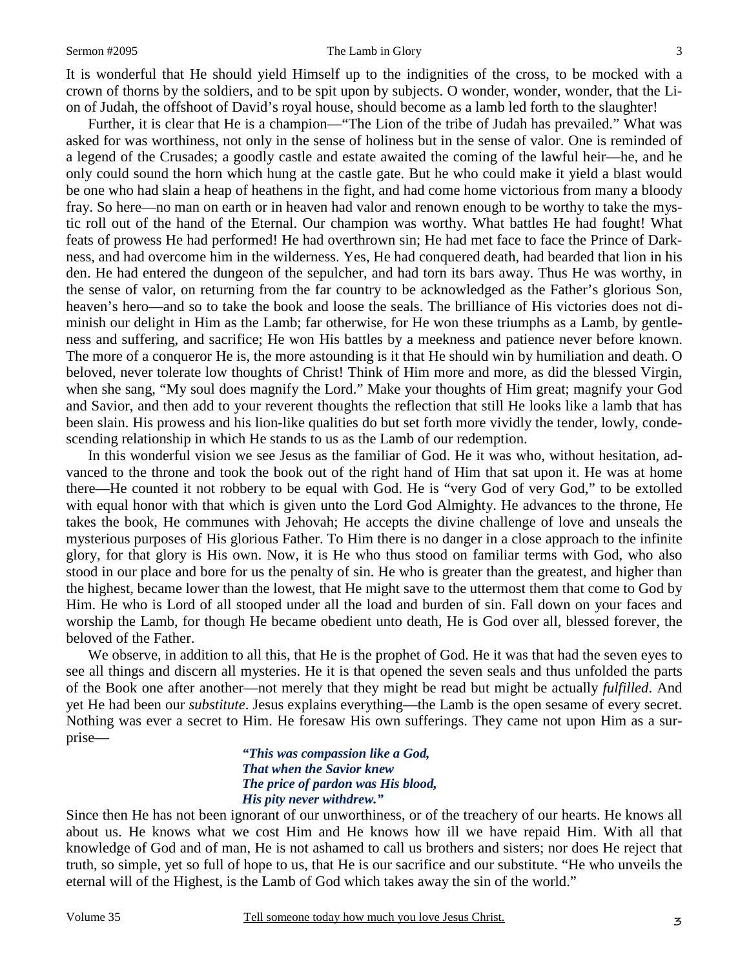#### Sermon #2095 The Lamb in Glory

It is wonderful that He should yield Himself up to the indignities of the cross, to be mocked with a crown of thorns by the soldiers, and to be spit upon by subjects. O wonder, wonder, wonder, that the Lion of Judah, the offshoot of David's royal house, should become as a lamb led forth to the slaughter!

Further, it is clear that He is a champion—"The Lion of the tribe of Judah has prevailed." What was asked for was worthiness, not only in the sense of holiness but in the sense of valor. One is reminded of a legend of the Crusades; a goodly castle and estate awaited the coming of the lawful heir—he, and he only could sound the horn which hung at the castle gate. But he who could make it yield a blast would be one who had slain a heap of heathens in the fight, and had come home victorious from many a bloody fray. So here—no man on earth or in heaven had valor and renown enough to be worthy to take the mystic roll out of the hand of the Eternal. Our champion was worthy. What battles He had fought! What feats of prowess He had performed! He had overthrown sin; He had met face to face the Prince of Darkness, and had overcome him in the wilderness. Yes, He had conquered death, had bearded that lion in his den. He had entered the dungeon of the sepulcher, and had torn its bars away. Thus He was worthy, in the sense of valor, on returning from the far country to be acknowledged as the Father's glorious Son, heaven's hero—and so to take the book and loose the seals. The brilliance of His victories does not diminish our delight in Him as the Lamb; far otherwise, for He won these triumphs as a Lamb, by gentleness and suffering, and sacrifice; He won His battles by a meekness and patience never before known. The more of a conqueror He is, the more astounding is it that He should win by humiliation and death. O beloved, never tolerate low thoughts of Christ! Think of Him more and more, as did the blessed Virgin, when she sang, "My soul does magnify the Lord." Make your thoughts of Him great; magnify your God and Savior, and then add to your reverent thoughts the reflection that still He looks like a lamb that has been slain. His prowess and his lion-like qualities do but set forth more vividly the tender, lowly, condescending relationship in which He stands to us as the Lamb of our redemption.

In this wonderful vision we see Jesus as the familiar of God. He it was who, without hesitation, advanced to the throne and took the book out of the right hand of Him that sat upon it. He was at home there—He counted it not robbery to be equal with God. He is "very God of very God," to be extolled with equal honor with that which is given unto the Lord God Almighty. He advances to the throne, He takes the book, He communes with Jehovah; He accepts the divine challenge of love and unseals the mysterious purposes of His glorious Father. To Him there is no danger in a close approach to the infinite glory, for that glory is His own. Now, it is He who thus stood on familiar terms with God, who also stood in our place and bore for us the penalty of sin. He who is greater than the greatest, and higher than the highest, became lower than the lowest, that He might save to the uttermost them that come to God by Him. He who is Lord of all stooped under all the load and burden of sin. Fall down on your faces and worship the Lamb, for though He became obedient unto death, He is God over all, blessed forever, the beloved of the Father.

We observe, in addition to all this, that He is the prophet of God. He it was that had the seven eyes to see all things and discern all mysteries. He it is that opened the seven seals and thus unfolded the parts of the Book one after another—not merely that they might be read but might be actually *fulfilled*. And yet He had been our *substitute*. Jesus explains everything—the Lamb is the open sesame of every secret. Nothing was ever a secret to Him. He foresaw His own sufferings. They came not upon Him as a surprise—

> *"This was compassion like a God, That when the Savior knew The price of pardon was His blood, His pity never withdrew."*

Since then He has not been ignorant of our unworthiness, or of the treachery of our hearts. He knows all about us. He knows what we cost Him and He knows how ill we have repaid Him. With all that knowledge of God and of man, He is not ashamed to call us brothers and sisters; nor does He reject that truth, so simple, yet so full of hope to us, that He is our sacrifice and our substitute. "He who unveils the eternal will of the Highest, is the Lamb of God which takes away the sin of the world."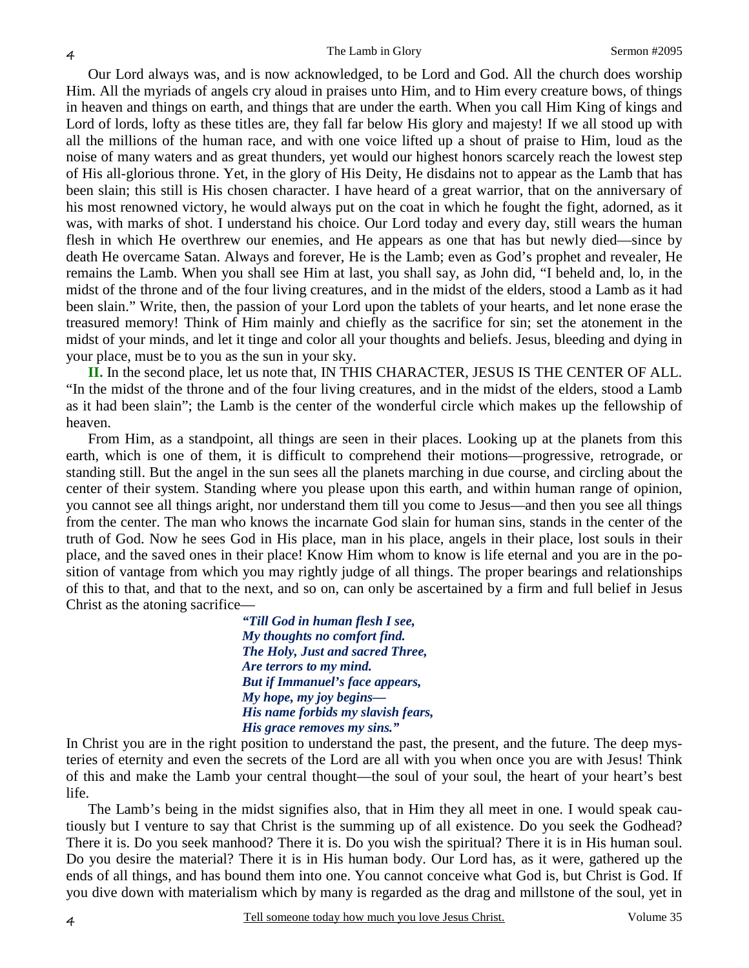Our Lord always was, and is now acknowledged, to be Lord and God. All the church does worship Him. All the myriads of angels cry aloud in praises unto Him, and to Him every creature bows, of things in heaven and things on earth, and things that are under the earth. When you call Him King of kings and Lord of lords, lofty as these titles are, they fall far below His glory and majesty! If we all stood up with all the millions of the human race, and with one voice lifted up a shout of praise to Him, loud as the noise of many waters and as great thunders, yet would our highest honors scarcely reach the lowest step of His all-glorious throne. Yet, in the glory of His Deity, He disdains not to appear as the Lamb that has been slain; this still is His chosen character. I have heard of a great warrior, that on the anniversary of his most renowned victory, he would always put on the coat in which he fought the fight, adorned, as it was, with marks of shot. I understand his choice. Our Lord today and every day, still wears the human flesh in which He overthrew our enemies, and He appears as one that has but newly died—since by death He overcame Satan. Always and forever, He is the Lamb; even as God's prophet and revealer, He remains the Lamb. When you shall see Him at last, you shall say, as John did, "I beheld and, lo, in the midst of the throne and of the four living creatures, and in the midst of the elders, stood a Lamb as it had been slain." Write, then, the passion of your Lord upon the tablets of your hearts, and let none erase the treasured memory! Think of Him mainly and chiefly as the sacrifice for sin; set the atonement in the midst of your minds, and let it tinge and color all your thoughts and beliefs. Jesus, bleeding and dying in your place, must be to you as the sun in your sky.

**II.** In the second place, let us note that, IN THIS CHARACTER, JESUS IS THE CENTER OF ALL. "In the midst of the throne and of the four living creatures, and in the midst of the elders, stood a Lamb as it had been slain"; the Lamb is the center of the wonderful circle which makes up the fellowship of heaven.

From Him, as a standpoint, all things are seen in their places. Looking up at the planets from this earth, which is one of them, it is difficult to comprehend their motions—progressive, retrograde, or standing still. But the angel in the sun sees all the planets marching in due course, and circling about the center of their system. Standing where you please upon this earth, and within human range of opinion, you cannot see all things aright, nor understand them till you come to Jesus—and then you see all things from the center. The man who knows the incarnate God slain for human sins, stands in the center of the truth of God. Now he sees God in His place, man in his place, angels in their place, lost souls in their place, and the saved ones in their place! Know Him whom to know is life eternal and you are in the position of vantage from which you may rightly judge of all things. The proper bearings and relationships of this to that, and that to the next, and so on, can only be ascertained by a firm and full belief in Jesus Christ as the atoning sacrifice—

> *"Till God in human flesh I see, My thoughts no comfort find. The Holy, Just and sacred Three, Are terrors to my mind. But if Immanuel's face appears, My hope, my joy begins— His name forbids my slavish fears, His grace removes my sins."*

In Christ you are in the right position to understand the past, the present, and the future. The deep mysteries of eternity and even the secrets of the Lord are all with you when once you are with Jesus! Think of this and make the Lamb your central thought—the soul of your soul, the heart of your heart's best life.

The Lamb's being in the midst signifies also, that in Him they all meet in one. I would speak cautiously but I venture to say that Christ is the summing up of all existence. Do you seek the Godhead? There it is. Do you seek manhood? There it is. Do you wish the spiritual? There it is in His human soul. Do you desire the material? There it is in His human body. Our Lord has, as it were, gathered up the ends of all things, and has bound them into one. You cannot conceive what God is, but Christ is God. If you dive down with materialism which by many is regarded as the drag and millstone of the soul, yet in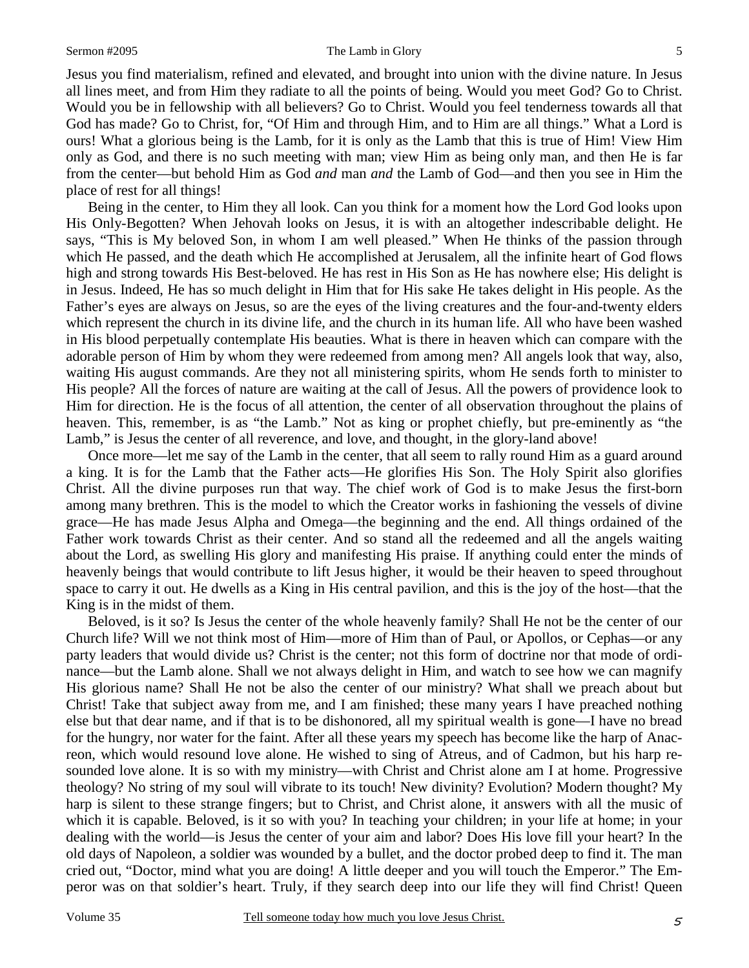#### Sermon #2095 The Lamb in Glory

Jesus you find materialism, refined and elevated, and brought into union with the divine nature. In Jesus all lines meet, and from Him they radiate to all the points of being. Would you meet God? Go to Christ. Would you be in fellowship with all believers? Go to Christ. Would you feel tenderness towards all that God has made? Go to Christ, for, "Of Him and through Him, and to Him are all things." What a Lord is ours! What a glorious being is the Lamb, for it is only as the Lamb that this is true of Him! View Him only as God, and there is no such meeting with man; view Him as being only man, and then He is far from the center—but behold Him as God *and* man *and* the Lamb of God—and then you see in Him the place of rest for all things!

Being in the center, to Him they all look. Can you think for a moment how the Lord God looks upon His Only-Begotten? When Jehovah looks on Jesus, it is with an altogether indescribable delight. He says, "This is My beloved Son, in whom I am well pleased." When He thinks of the passion through which He passed, and the death which He accomplished at Jerusalem, all the infinite heart of God flows high and strong towards His Best-beloved. He has rest in His Son as He has nowhere else; His delight is in Jesus. Indeed, He has so much delight in Him that for His sake He takes delight in His people. As the Father's eyes are always on Jesus, so are the eyes of the living creatures and the four-and-twenty elders which represent the church in its divine life, and the church in its human life. All who have been washed in His blood perpetually contemplate His beauties. What is there in heaven which can compare with the adorable person of Him by whom they were redeemed from among men? All angels look that way, also, waiting His august commands. Are they not all ministering spirits, whom He sends forth to minister to His people? All the forces of nature are waiting at the call of Jesus. All the powers of providence look to Him for direction. He is the focus of all attention, the center of all observation throughout the plains of heaven. This, remember, is as "the Lamb." Not as king or prophet chiefly, but pre-eminently as "the Lamb," is Jesus the center of all reverence, and love, and thought, in the glory-land above!

Once more—let me say of the Lamb in the center, that all seem to rally round Him as a guard around a king. It is for the Lamb that the Father acts—He glorifies His Son. The Holy Spirit also glorifies Christ. All the divine purposes run that way. The chief work of God is to make Jesus the first-born among many brethren. This is the model to which the Creator works in fashioning the vessels of divine grace—He has made Jesus Alpha and Omega—the beginning and the end. All things ordained of the Father work towards Christ as their center. And so stand all the redeemed and all the angels waiting about the Lord, as swelling His glory and manifesting His praise. If anything could enter the minds of heavenly beings that would contribute to lift Jesus higher, it would be their heaven to speed throughout space to carry it out. He dwells as a King in His central pavilion, and this is the joy of the host—that the King is in the midst of them.

Beloved, is it so? Is Jesus the center of the whole heavenly family? Shall He not be the center of our Church life? Will we not think most of Him—more of Him than of Paul, or Apollos, or Cephas—or any party leaders that would divide us? Christ is the center; not this form of doctrine nor that mode of ordinance—but the Lamb alone. Shall we not always delight in Him, and watch to see how we can magnify His glorious name? Shall He not be also the center of our ministry? What shall we preach about but Christ! Take that subject away from me, and I am finished; these many years I have preached nothing else but that dear name, and if that is to be dishonored, all my spiritual wealth is gone—I have no bread for the hungry, nor water for the faint. After all these years my speech has become like the harp of Anacreon, which would resound love alone. He wished to sing of Atreus, and of Cadmon, but his harp resounded love alone. It is so with my ministry—with Christ and Christ alone am I at home. Progressive theology? No string of my soul will vibrate to its touch! New divinity? Evolution? Modern thought? My harp is silent to these strange fingers; but to Christ, and Christ alone, it answers with all the music of which it is capable. Beloved, is it so with you? In teaching your children; in your life at home; in your dealing with the world—is Jesus the center of your aim and labor? Does His love fill your heart? In the old days of Napoleon, a soldier was wounded by a bullet, and the doctor probed deep to find it. The man cried out, "Doctor, mind what you are doing! A little deeper and you will touch the Emperor." The Emperor was on that soldier's heart. Truly, if they search deep into our life they will find Christ! Queen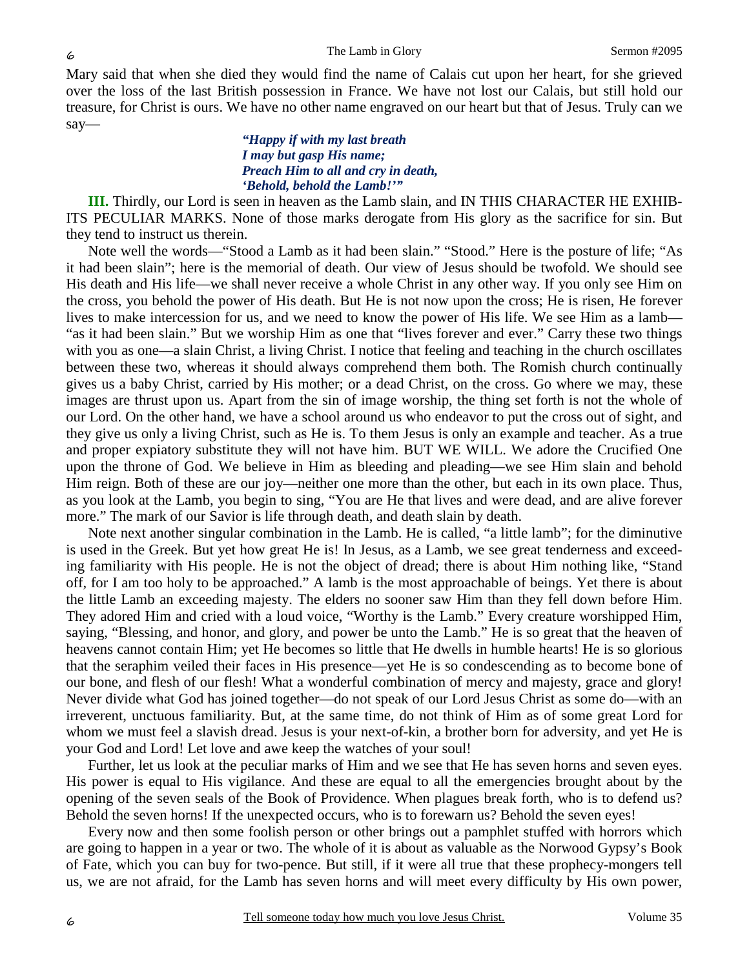Mary said that when she died they would find the name of Calais cut upon her heart, for she grieved over the loss of the last British possession in France. We have not lost our Calais, but still hold our treasure, for Christ is ours. We have no other name engraved on our heart but that of Jesus. Truly can we say—

### *"Happy if with my last breath I may but gasp His name; Preach Him to all and cry in death, 'Behold, behold the Lamb!'"*

**III.** Thirdly, our Lord is seen in heaven as the Lamb slain, and IN THIS CHARACTER HE EXHIB-ITS PECULIAR MARKS. None of those marks derogate from His glory as the sacrifice for sin. But they tend to instruct us therein.

Note well the words—"Stood a Lamb as it had been slain." "Stood." Here is the posture of life; "As it had been slain"; here is the memorial of death. Our view of Jesus should be twofold. We should see His death and His life—we shall never receive a whole Christ in any other way. If you only see Him on the cross, you behold the power of His death. But He is not now upon the cross; He is risen, He forever lives to make intercession for us, and we need to know the power of His life. We see Him as a lamb— "as it had been slain." But we worship Him as one that "lives forever and ever." Carry these two things with you as one—a slain Christ, a living Christ. I notice that feeling and teaching in the church oscillates between these two, whereas it should always comprehend them both. The Romish church continually gives us a baby Christ, carried by His mother; or a dead Christ, on the cross. Go where we may, these images are thrust upon us. Apart from the sin of image worship, the thing set forth is not the whole of our Lord. On the other hand, we have a school around us who endeavor to put the cross out of sight, and they give us only a living Christ, such as He is. To them Jesus is only an example and teacher. As a true and proper expiatory substitute they will not have him. BUT WE WILL. We adore the Crucified One upon the throne of God. We believe in Him as bleeding and pleading—we see Him slain and behold Him reign. Both of these are our joy—neither one more than the other, but each in its own place. Thus, as you look at the Lamb, you begin to sing, "You are He that lives and were dead, and are alive forever more." The mark of our Savior is life through death, and death slain by death.

Note next another singular combination in the Lamb. He is called, "a little lamb"; for the diminutive is used in the Greek. But yet how great He is! In Jesus, as a Lamb, we see great tenderness and exceeding familiarity with His people. He is not the object of dread; there is about Him nothing like, "Stand off, for I am too holy to be approached." A lamb is the most approachable of beings. Yet there is about the little Lamb an exceeding majesty. The elders no sooner saw Him than they fell down before Him. They adored Him and cried with a loud voice, "Worthy is the Lamb." Every creature worshipped Him, saying, "Blessing, and honor, and glory, and power be unto the Lamb." He is so great that the heaven of heavens cannot contain Him; yet He becomes so little that He dwells in humble hearts! He is so glorious that the seraphim veiled their faces in His presence—yet He is so condescending as to become bone of our bone, and flesh of our flesh! What a wonderful combination of mercy and majesty, grace and glory! Never divide what God has joined together—do not speak of our Lord Jesus Christ as some do—with an irreverent, unctuous familiarity. But, at the same time, do not think of Him as of some great Lord for whom we must feel a slavish dread. Jesus is your next-of-kin, a brother born for adversity, and yet He is your God and Lord! Let love and awe keep the watches of your soul!

Further, let us look at the peculiar marks of Him and we see that He has seven horns and seven eyes. His power is equal to His vigilance. And these are equal to all the emergencies brought about by the opening of the seven seals of the Book of Providence. When plagues break forth, who is to defend us? Behold the seven horns! If the unexpected occurs, who is to forewarn us? Behold the seven eyes!

Every now and then some foolish person or other brings out a pamphlet stuffed with horrors which are going to happen in a year or two. The whole of it is about as valuable as the Norwood Gypsy's Book of Fate, which you can buy for two-pence. But still, if it were all true that these prophecy-mongers tell us, we are not afraid, for the Lamb has seven horns and will meet every difficulty by His own power,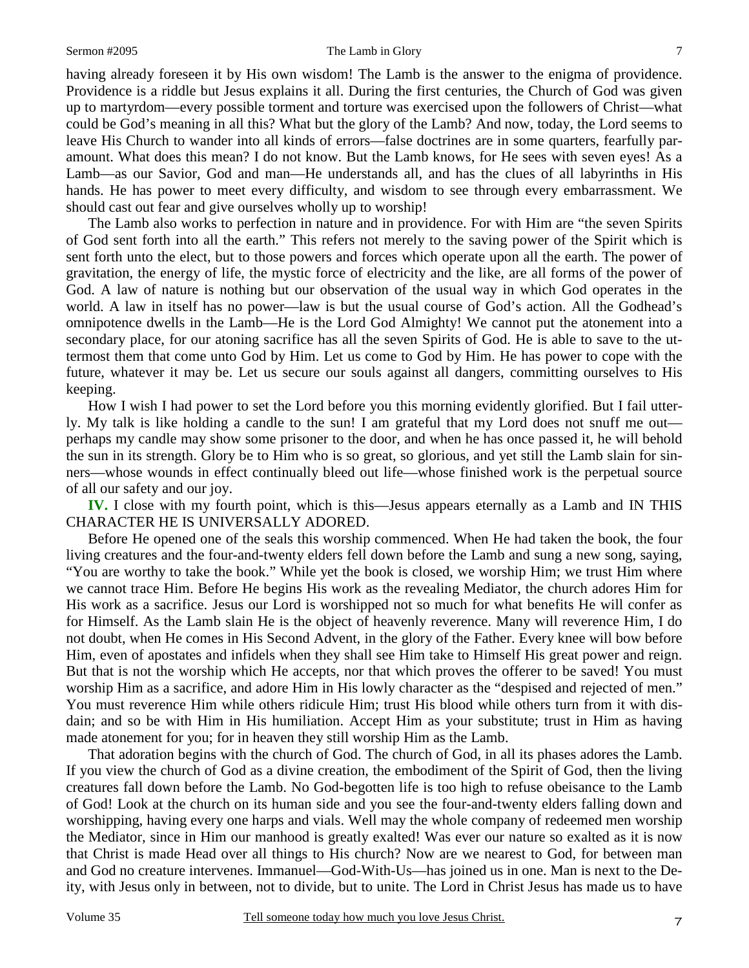#### Sermon #2095 The Lamb in Glory

having already foreseen it by His own wisdom! The Lamb is the answer to the enigma of providence. Providence is a riddle but Jesus explains it all. During the first centuries, the Church of God was given up to martyrdom—every possible torment and torture was exercised upon the followers of Christ—what could be God's meaning in all this? What but the glory of the Lamb? And now, today, the Lord seems to leave His Church to wander into all kinds of errors—false doctrines are in some quarters, fearfully paramount. What does this mean? I do not know. But the Lamb knows, for He sees with seven eyes! As a Lamb—as our Savior, God and man—He understands all, and has the clues of all labyrinths in His hands. He has power to meet every difficulty, and wisdom to see through every embarrassment. We should cast out fear and give ourselves wholly up to worship!

The Lamb also works to perfection in nature and in providence. For with Him are "the seven Spirits of God sent forth into all the earth." This refers not merely to the saving power of the Spirit which is sent forth unto the elect, but to those powers and forces which operate upon all the earth. The power of gravitation, the energy of life, the mystic force of electricity and the like, are all forms of the power of God. A law of nature is nothing but our observation of the usual way in which God operates in the world. A law in itself has no power—law is but the usual course of God's action. All the Godhead's omnipotence dwells in the Lamb—He is the Lord God Almighty! We cannot put the atonement into a secondary place, for our atoning sacrifice has all the seven Spirits of God. He is able to save to the uttermost them that come unto God by Him. Let us come to God by Him. He has power to cope with the future, whatever it may be. Let us secure our souls against all dangers, committing ourselves to His keeping.

How I wish I had power to set the Lord before you this morning evidently glorified. But I fail utterly. My talk is like holding a candle to the sun! I am grateful that my Lord does not snuff me out perhaps my candle may show some prisoner to the door, and when he has once passed it, he will behold the sun in its strength. Glory be to Him who is so great, so glorious, and yet still the Lamb slain for sinners—whose wounds in effect continually bleed out life—whose finished work is the perpetual source of all our safety and our joy.

**IV.** I close with my fourth point, which is this—Jesus appears eternally as a Lamb and IN THIS CHARACTER HE IS UNIVERSALLY ADORED.

Before He opened one of the seals this worship commenced. When He had taken the book, the four living creatures and the four-and-twenty elders fell down before the Lamb and sung a new song, saying, "You are worthy to take the book." While yet the book is closed, we worship Him; we trust Him where we cannot trace Him. Before He begins His work as the revealing Mediator, the church adores Him for His work as a sacrifice. Jesus our Lord is worshipped not so much for what benefits He will confer as for Himself. As the Lamb slain He is the object of heavenly reverence. Many will reverence Him, I do not doubt, when He comes in His Second Advent, in the glory of the Father. Every knee will bow before Him, even of apostates and infidels when they shall see Him take to Himself His great power and reign. But that is not the worship which He accepts, nor that which proves the offerer to be saved! You must worship Him as a sacrifice, and adore Him in His lowly character as the "despised and rejected of men." You must reverence Him while others ridicule Him; trust His blood while others turn from it with disdain; and so be with Him in His humiliation. Accept Him as your substitute; trust in Him as having made atonement for you; for in heaven they still worship Him as the Lamb.

That adoration begins with the church of God. The church of God, in all its phases adores the Lamb. If you view the church of God as a divine creation, the embodiment of the Spirit of God, then the living creatures fall down before the Lamb. No God-begotten life is too high to refuse obeisance to the Lamb of God! Look at the church on its human side and you see the four-and-twenty elders falling down and worshipping, having every one harps and vials. Well may the whole company of redeemed men worship the Mediator, since in Him our manhood is greatly exalted! Was ever our nature so exalted as it is now that Christ is made Head over all things to His church? Now are we nearest to God, for between man and God no creature intervenes. Immanuel—God-With-Us—has joined us in one. Man is next to the Deity, with Jesus only in between, not to divide, but to unite. The Lord in Christ Jesus has made us to have